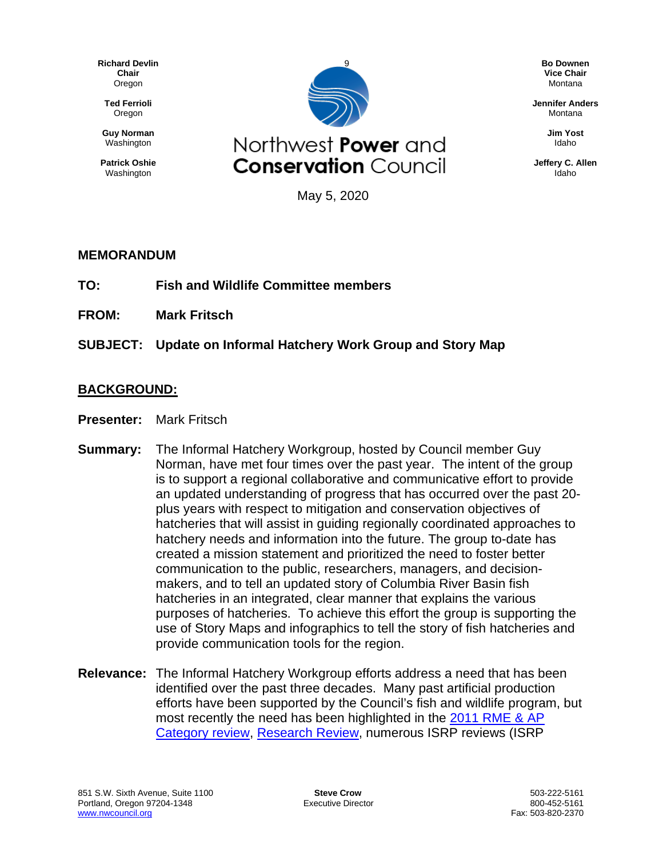**Richard Devlin Chair** Oregon

**Ted Ferrioli** Oregon

**Guy Norman** Washington

**Patrick Oshie** Washington



**Bo Downen Vice Chair** Montana

**Jennifer Anders** Montana

> **Jim Yost** Idaho

**Jeffery C. Allen** Idaho

May 5, 2020

## **MEMORANDUM**

- **TO: Fish and Wildlife Committee members**
- **FROM: Mark Fritsch**
- **SUBJECT: Update on Informal Hatchery Work Group and Story Map**

## **BACKGROUND:**

- **Presenter:** Mark Fritsch
- **Summary:** The Informal Hatchery Workgroup, hosted by Council member Guy Norman, have met four times over the past year. The intent of the group is to support a regional collaborative and communicative effort to provide an updated understanding of progress that has occurred over the past 20 plus years with respect to mitigation and conservation objectives of hatcheries that will assist in guiding regionally coordinated approaches to hatchery needs and information into the future. The group to-date has created a mission statement and prioritized the need to foster better communication to the public, researchers, managers, and decisionmakers, and to tell an updated story of Columbia River Basin fish hatcheries in an integrated, clear manner that explains the various purposes of hatcheries. To achieve this effort the group is supporting the use of Story Maps and infographics to tell the story of fish hatcheries and provide communication tools for the region.
- **Relevance:** The Informal Hatchery Workgroup efforts address a need that has been identified over the past three decades. Many past artificial production efforts have been supported by the Council's fish and wildlife program, but most recently the need has been highlighted in the [2011 RME &](https://www.nwcouncil.org/sites/default/files/2011_06decision_0.pdf) AP [Category review,](https://www.nwcouncil.org/sites/default/files/2011_06decision_0.pdf) [Research Review,](https://nwcouncil.app.box.com/file/370176398479) numerous ISRP reviews (ISRP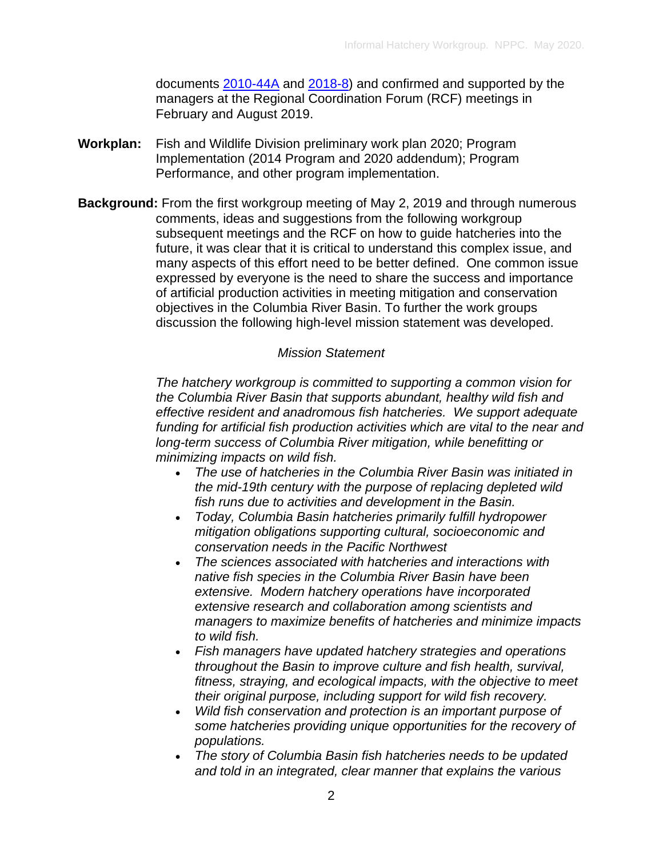documents [2010-44A](https://www.nwcouncil.org/sites/default/files/isrp2010_44a_2.pdf) and [2018-8\)](https://www.nwcouncil.org/sites/default/files/ISRP%202018-08%20ResearchStatusReview28Sep.pdf) and confirmed and supported by the managers at the Regional Coordination Forum (RCF) meetings in February and August 2019.

- **Workplan:** Fish and Wildlife Division preliminary work plan 2020; Program Implementation (2014 Program and 2020 addendum); Program Performance, and other program implementation.
- **Background:** From the first workgroup meeting of May 2, 2019 and through numerous comments, ideas and suggestions from the following workgroup subsequent meetings and the RCF on how to guide hatcheries into the future, it was clear that it is critical to understand this complex issue, and many aspects of this effort need to be better defined. One common issue expressed by everyone is the need to share the success and importance of artificial production activities in meeting mitigation and conservation objectives in the Columbia River Basin. To further the work groups discussion the following high-level mission statement was developed.

## *Mission Statement*

*The hatchery workgroup is committed to supporting a common vision for the Columbia River Basin that supports abundant, healthy wild fish and effective resident and anadromous fish hatcheries. We support adequate funding for artificial fish production activities which are vital to the near and long-term success of Columbia River mitigation, while benefitting or minimizing impacts on wild fish.*

- *The use of hatcheries in the Columbia River Basin was initiated in the mid-19th century with the purpose of replacing depleted wild fish runs due to activities and development in the Basin.*
- *Today, Columbia Basin hatcheries primarily fulfill hydropower mitigation obligations supporting cultural, socioeconomic and conservation needs in the Pacific Northwest*
- *The sciences associated with hatcheries and interactions with native fish species in the Columbia River Basin have been extensive. Modern hatchery operations have incorporated extensive research and collaboration among scientists and managers to maximize benefits of hatcheries and minimize impacts to wild fish.*
- *Fish managers have updated hatchery strategies and operations throughout the Basin to improve culture and fish health, survival, fitness, straying, and ecological impacts, with the objective to meet their original purpose, including support for wild fish recovery.*
- *Wild fish conservation and protection is an important purpose of some hatcheries providing unique opportunities for the recovery of populations.*
- *The story of Columbia Basin fish hatcheries needs to be updated and told in an integrated, clear manner that explains the various*